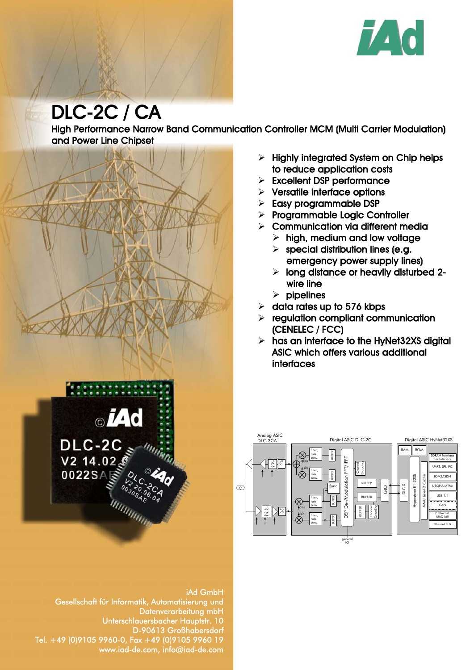

# DLC-2C / CA

High Performance Narrow Band Communication Controller MCM (Multi Carrier Modulation) and Power Line Chipset



# iAd GmbH Gesellschaft für Informatik, Automatisierung und Datenverarbeitung mbH Unterschlauersbacher Hauptstr. 10 D-90613 Großhabersdorf Tel. +49 (0)9105 9960-0, Fax +49 (0)9105 9960 19 www.iad-de.com, info@iad-de.com

- $\triangleright$  Highly integrated System on Chip helps to reduce application costs
- $\triangleright$  Excellent DSP performance
- $\triangleright$  Versatile interface options
- $\triangleright$  Easy programmable DSP
- > Programmable Logic Controller
- $\triangleright$  Communication via different media
	- $\triangleright$  high, medium and low voltage
	- $\triangleright$  special distribution lines (e.g. emergency power supply lines)
	- $\triangleright$  long distance or heavily disturbed 2wire line
	- $\triangleright$  pipelines
- $\geq$  data rates up to 576 kbps
- $\triangleright$  regulation compliant communication (CENELEC / FCC)
- $\triangleright$  has an interface to the HyNet32XS digital ASIC which offers various additional interfaces